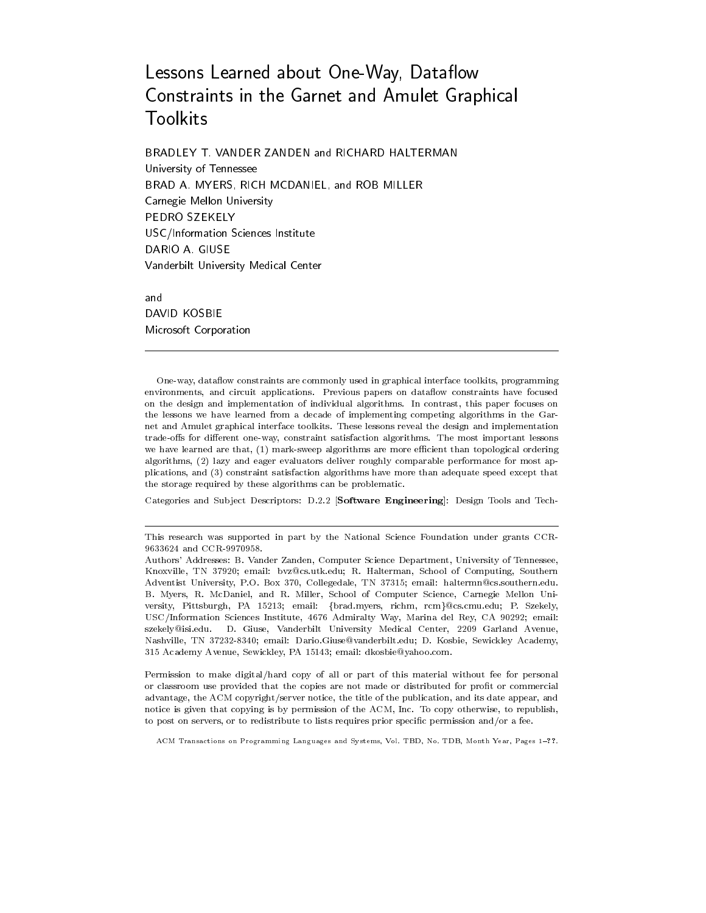# Lessons Learned about One-Way, Dataflow Constraints in the Garnet and Amulet Graphical **Toolkits**

BRADLEY T. VANDER ZANDEN and RICHARD HALTERMAN University of Tennessee BRAD A. MYERS, RICH MCDANIEL, and ROB MILLER Carnegie Mellon University PEDRO SZEKELY USC/Information Sciences Institute DARIO A GIUSE Vanderbilt University Medical Center

**DAVID KOSBIE** Microsoft Corporation

One-way, dataflow constraints are commonly used in graphical interface toolkits, programming environments, and circuit applications. Previous papers on dataflow constraints have focused on the design and implementation of individual algorithms. In contrast, this paper focuses on the lessons we have learned from a decade of implementing competing algorithms in the Garnet and Amulet graphical interface toolkits. These lessons reveal the design and implementation trade-offs for different one-way, constraint satisfaction algorithms. The most important lessons we have learned are that,  $(1)$  mark-sweep algorithms are more efficient than topological ordering algorithms, (2) lazy and eager evaluators deliver roughly comparable performance for most applications, and (3) constraint satisfaction algorithms have more than adequate speed except that the storage required by these algorithms can be problematic.

Categories and Subject Descriptors: D.2.2 [Software Engineering]: Design Tools and Tech-

Permission to make digital/hard copy of all or part of this material without fee for personal or classroom use provided that the copies are not made or distributed for profit or commercial advantage, the ACM copyright/server notice, the title of the publication, and its date appear, and notice is given that copying is by permission of the ACM, Inc. To copy otherwise, to republish, to post on servers, or to redistribute to lists requires prior specific permission and/or a fee.

This research was supported in part by the National Science Foundation under grants CCR-9633624 and CCR-9970958.

Authors' Addresses: B. Vander Zanden, Computer Science Department, University of Tennessee, Knoxville, TN 37920; email: bvz@cs.utk.edu; R. Halterman, School of Computing, Southern Adventist University, P.O. Box 370, Collegedale, TN 37315; email: haltermn@cs.southern.edu. B. Myers, R. McDaniel, and R. Miller, School of Computer Science, Carnegie Mellon Uni versity, Pittsburgh, PA 15213; email: {brad.myers, richm, rcm}@cs.cmu.edu; P. Szekely, USC/Information Sciences Institute, 4676 Admiralty Way, Marina del Rey, CA 90292; email: szekely@isi.edu. D. Giuse, Vanderbilt University Medical Center, 2209 Garland Avenue, Nashville, TN 37232-8340; email: Dario.Giuse@vanderbilt.edu; D. Kosbie, Sewickley Academy, 315 Academy Avenue, Sewickley, PA 15143; email: dkosbie@yahoo.com.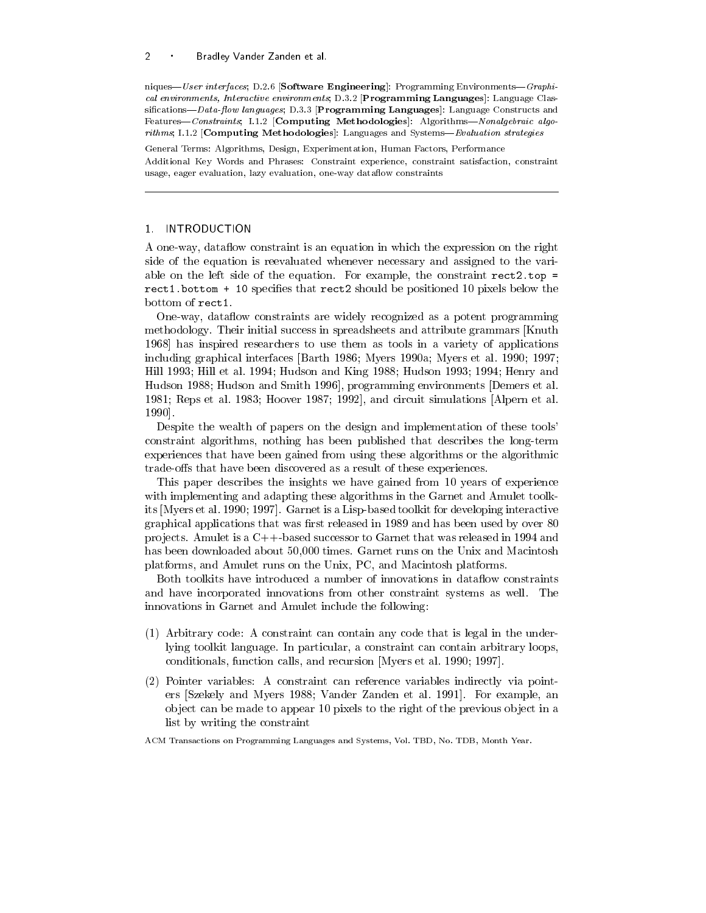niques—User interfaces; D.2.6 [Software Engineering]: Programming Environments—Graphical environments, Interactive environments; D.3.2 [Programming Languages]: Language Classifications— $Data-flow$  languages; D.3.3 [Programming Languages]: Language Constructs and Features-Constraints; I.1.2 [Computing Methodologies]: Algorithms-Nonalgebraic algo $rithms$ ; I.1.2 [Computing Methodologies]: Languages and Systems-Evaluation strategies

General Terms: Algorithms, Design, Experimentation, Human Factors, Performance Additional Key Words and Phrases: Constraint experience, constraint satisfaction, constraint usage, eager evaluation, lazy evaluation, one-way dataflow constraints

#### **INTRODUCTION**  $\mathbf{1}$

A one-way, dataflow constraint is an equation in which the expression on the right side of the equation is reevaluated whenever necessary and assigned to the variable on the left side of the equation. For example, the constraint rect2.top = rect1.bottom  $+$  10 specifies that rect2 should be positioned 10 pixels below the bottom of rect1.

One-way, dataflow constraints are widely recognized as a potent programming methodology. Their initial success in spreadsheets and attribute grammars [Knuth 1968] has inspired researchers to use them as tools in a variety of applications including graphical interfaces [Barth 1986; Myers 1990a; Myers et al. 1990; 1997; Hill 1993; Hill et al. 1994; Hudson and King 1988; Hudson 1993; 1994; Henry and Hudson 1988; Hudson and Smith 1996], programming environments [Demers et al. 1981; Reps et al. 1983; Hoover 1987; 1992], and circuit simulations [Alpern et al. 1990].

Despite the wealth of papers on the design and implementation of these tools' constraint algorithms, nothing has been published that describes the long-term experiences that have been gained from using these algorithms or the algorithmic trade-offs that have been discovered as a result of these experiences.

This paper describes the insights we have gained from 10 years of experience with implementing and adapting these algorithms in the Garnet and Amulet toolkits [Myers et al. 1990; 1997]. Garnet is a Lisp-based toolkit for developing interactive graphical applications that was first released in 1989 and has been used by over 80 pro jects. Amulet is a C++-based successor to Garnet that was released in 1994 and has been downloaded about 50,000 times. Garnet runs on the Unix and Macintosh platforms, and Amulet runs on the Unix, PC, and Macintosh platforms.

Both toolkits have introduced a number of innovations in dataflow constraints and have incorporated innovations from other constraint systems as well. The innovations in Garnet and Amulet include the following:

- (1) Arbitrary code: A constraint can contain any code that is legal in the underlying toolkit language. In particular, a constraint can contain arbitrary loops, conditionals, function calls, and recursion [Myers et al. 1990; 1997].
- (2) Pointer variables: A constraint can reference variables indirectly via pointers [Szekely and Myers 1988; Vander Zanden etal. 1991]. For example, an object can be made to appear 10 pixels to the right of the previous object in a list by writing the constraint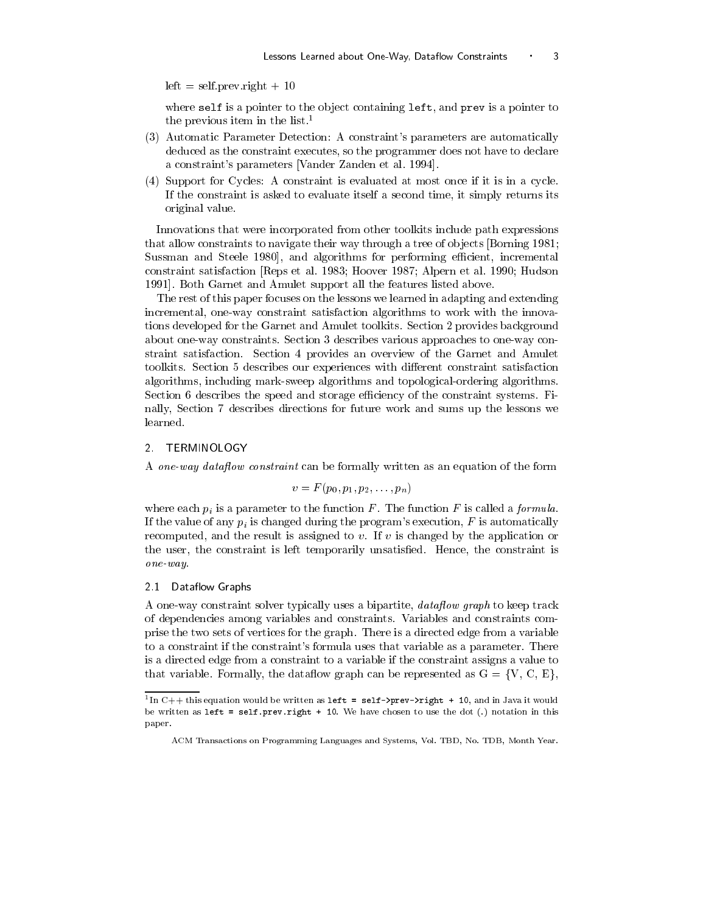$left = self-prev.right + 10$ 

where self is a pointer to the object containing left, and prev is a pointer to the previous item in the list.<sup>1</sup>

- (3) Automatic Parameter Detection: A constraint's parameters are automatically deduced as the constraint executes, so the programmer does not have to declare a constraint's parameters [Vander Zanden et al. 1994].
- (4) Support for Cycles: A constraint is evaluated at most once if it is in a cycle. If the constraint is asked to evaluate itself a second time, it simply returns its original value.

Innovations that were incorporated from other toolkits include path expressions that allow constraints to navigate their way through a tree of ob jects [Borning 1981; Sussman and Steele 1980], and algorithms for performing efficient, incremental constraint satisfaction [Reps et al. 1983; Hoover 1987; Alpern et al. 1990; Hudson 1991]. Both Garnet and Amulet support all the features listed above.

The rest of this paper focuses on the lessons we learned in adapting and extending incremental, one-way constraint satisfaction algorithms to work with the innovations developed for the Garnet and Amulet toolkits. Section 2 provides background about one-way constraints. Section 3 describes various approaches to one-way constraint satisfaction. Section 4 provides an overview of the Garnet and Amulet toolkits. Section 5 describes our experiences with different constraint satisfaction algorithms, including mark-sweep algorithms and topological-ordering algorithms. Section 6 describes the speed and storage efficiency of the constraint systems. Finally, Section 7 describes directions for future work and sums up the lessons we learned.

A one-way dataflow constraint can be formally written as an equation of the form

$$
v=F(p_0,p_1,p_2,\ldots,p_n)
$$

where each  $p_i$  is a parameter to the function F. The function F is called a *formula*. If the value of any  $p_i$  is changed during the program's execution,  $F$  is automatically recomputed, and the result is assigned to v. If v is changed by the application or the user, the constraint is left temporarily unsatised. Hence, the constraint is one-way.

#### 2.1 Dataflow Graphs

A one-way constraint solver typically uses a bipartite,  $dataflow$  graph to keep track of dependencies among variables and constraints. Variables and constraints comprise the two sets of vertices for the graph. There is a directed edge from a variable to a constraint if the constraint's formula uses that variable as a parameter. There is a directed edge from a constraint to a variable if the constraint assigns a value to that variable. Formally, the data flow graph can be represented as  $G = \{V, C, E\}$ ,

In  $\cup$   $+$  + this equation would be written as left = self->prev->right + 10, and in Java it would be written as left = self.prev.right + 10. We have chosen to use the dot (.) notation in this paper.

ACM Transactions on Programming Languages and Systems, Vol. TBD, No. TDB, Month Year.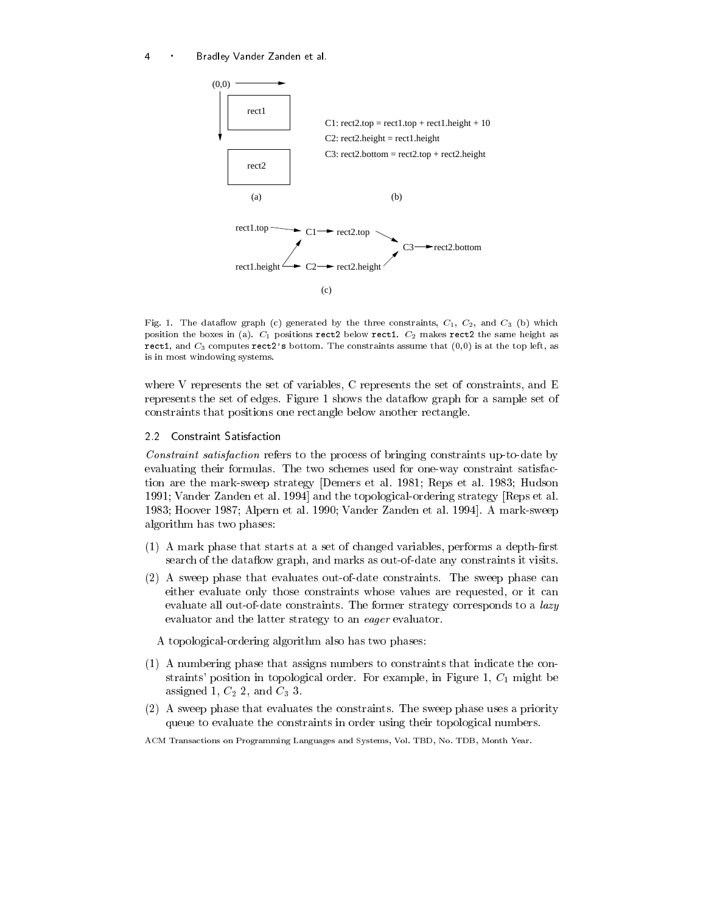<sup>4</sup> Bradley Vander Zanden et al.



Fig. 1. The dataflow graph (c) generated by the three constraints,  $C_1$ ,  $C_2$ , and  $C_3$  (b) which position the boxes in (a).  $C_1$  positions rect2 below rect1.  $C_2$  makes rect2 the same height as rect1, and  $C_3$  computes rect2's bottom. The constraints assume that  $(0,0)$  is at the top left, as is in most windowing systems.

where V represents the set of variables, C represents the set of constraints, and E represents the set of edges. Figure 1 shows the dataflow graph for a sample set of constraints that positions one rectangle below another rectangle.

### 2.2 Constraint Satisfaction

Constraint satisfaction refers to the process of bringing constraints up-to-date by evaluating their formulas. The two schemes used for one-way constraint satisfaction are the mark-sweep strategy [Demers et al. 1981; Reps et al. 1983; Hudson 1991; Vander Zanden et al. 1994] and the topological-ordering strategy [Reps et al. 1983; Hoover 1987; Alpern et al. 1990; Vander Zanden et al. 1994]. A mark-sweep algorithm has two phases:

- $(1)$  A mark phase that starts at a set of changed variables, performs a depth-first search of the dataflow graph, and marks as out-of-date any constraints it visits.
- (2) A sweep phase that evaluates out-of-date constraints. The sweep phase can either evaluate only those constraints whose values are requested, or it can evaluate all out-of-date constraints. The former strategy corresponds to a lazy evaluator and the latter strategy to an eager evaluator.
	- A topological-ordering algorithm also has two phases:
- (1) A numbering phase that assigns numbers to constraints that indicate the constraints' position in topological order. For example, in Figure 1,  $C_1$  might be assigned 1,  $C_2$  2, and  $C_3$  3.
- (2) A sweep phase that evaluates the constraints. The sweep phase uses a priority queue to evaluate the constraints in order using their topological numbers.
- ACM Transactions on Programming Languages and Systems, Vol. TBD, No. TDB, Month Year.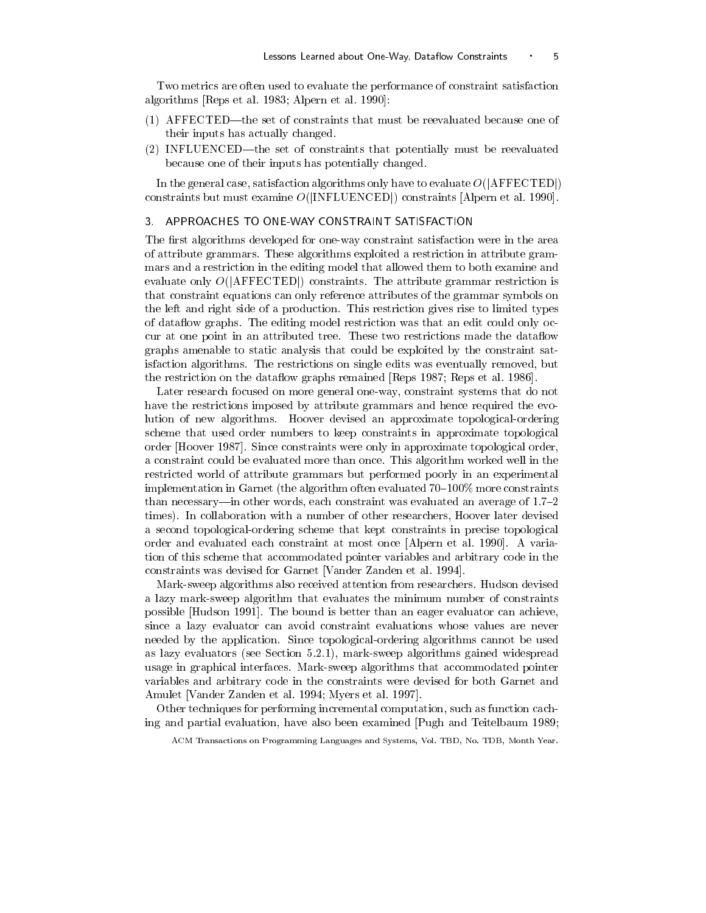Two metrics are often used to evaluate the performance of constraint satisfaction algorithms [Reps et al. 1983; Alpern et al. 1990]:

- $(1)$  AFFECTED—the set of constraints that must be reevaluated because one of their inputs has actually changed.
- $(2)$  INFLUENCED—the set of constraints that potentially must be reevaluated because one of their inputs has potentially changed.

In the general case, satisfaction algorithms only have to evaluate  $O(|\text{AFFECTED}|)$ constraints but must examine  $O(|INFLUENCED|)$  constraints [Alpern et al. 1990].

#### 3. APPROACHES TO ONE-WAY CONSTRAINT SATISFACTION 3.

The first algorithms developed for one-way constraint satisfaction were in the area of attribute grammars. These algorithms exploited a restriction in attribute grammars and a restriction in the editing model that allowed them to both examine and evaluate only  $O(|\text{AFFECTED}|)$  constraints. The attribute grammar restriction is that constraint equations can only reference attributes of the grammar symbols on the left and right side of a production. This restriction gives rise to limited types of data
ow graphs. The editing model restriction was that an edit could only occur at one point in an attributed tree. These two restrictions made the dataflow graphs amenable to static analysis that could be exploited by the constraint satisfaction algorithms. The restrictions on single edits was eventually removed, but the restriction on the dataflow graphs remained [Reps 1987; Reps et al. 1986].

Later research focused on more general one-way, constraint systems that do not have the restrictions imposed by attribute grammars and hence required the evolution of new algorithms. Hoover devised an approximate topological-ordering scheme that used order numbers to keep constraints in approximate topological order [Hoover 1987]. Since constraints were only in approximate topological order, a constraint could be evaluated more than once. This algorithm worked well in the restricted world of attribute grammars but performed poorly in an experimental implementation in Garnet (the algorithm often evaluated  $70{\text -}100\%$  more constraints than necessary—in other words, each constraint was evaluated an average of  $1.7{-}2$ times). In collaboration with a number of other researchers, Hoover later devised a second topological-ordering scheme that kept constraints in precise topological order and evaluated each constraint at most once [Alpern etal. 1990]. A variation of this scheme that accommodated pointer variables and arbitrary code in the constraints was devised for Garnet [Vander Zanden et al. 1994].

Mark-sweep algorithms also received attention from researchers. Hudson devised a lazy mark-sweep algorithm that evaluates the minimum number of constraints possible [Hudson 1991]. The bound is better than an eager evaluator can achieve, since a lazy evaluator can avoid constraint evaluations whose values are never needed by the application. Since topological-ordering algorithms cannot be used as lazy evaluators (see Section 5.2.1), mark-sweep algorithms gained widespread usage in graphical interfaces. Mark-sweep algorithms that accommodated pointer variables and arbitrary code in the constraints were devised for both Garnet and Amulet [Vander Zanden et al. 1994; Myers et al. 1997].

Other techniques for performing incremental computation, such as function caching and partial evaluation, have also been examined [Pugh and Teitelbaum 1989;

ACM Transactions on Programming Languages and Systems, Vol. TBD, No. TDB, Month Year.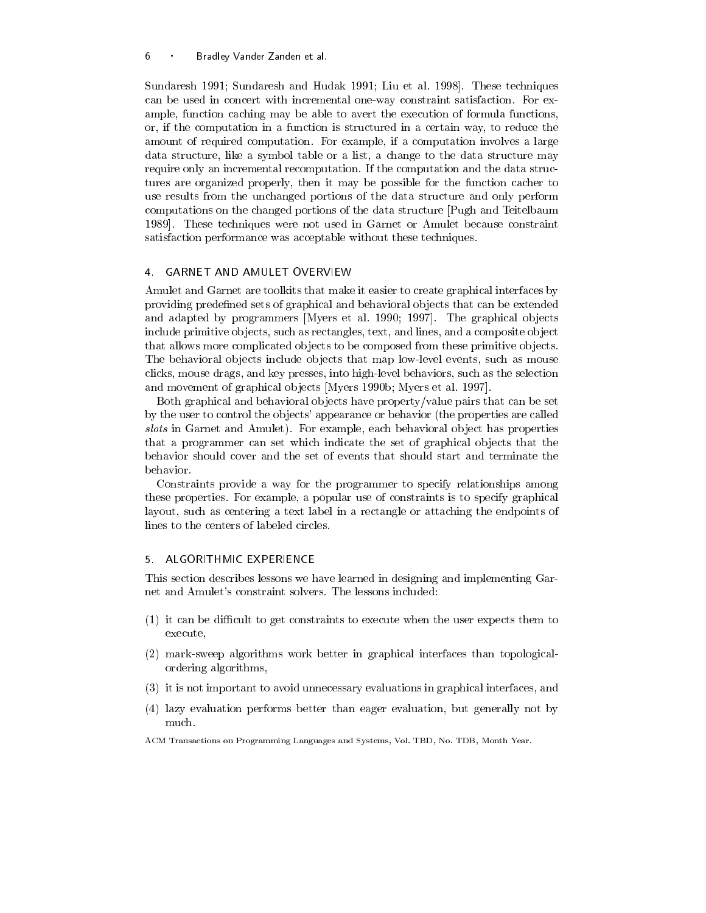#### 6 **· Bradley Vander Zanden et al.**

Sundaresh 1991; Sundaresh and Hudak 1991; Liu et al. 1998]. These techniques can be used in concert with incremental one-way constraint satisfaction. For example, function caching may be able to avert the execution of formula functions, or, if the computation in a function is structured in a certain way, to reduce the amount of required computation. For example, if a computation involves a large data structure, like a symbol table or a list, a change to the data structure may require only an incremental recomputation. If the computation and the data structures are organized properly, then it may be possible for the function cacher to use results from the unchanged portions of the data structure and only perform computations on the changed portions of the data structure [Pugh and Teitelbaum 1989]. These techniques were not used in Garnet or Amulet because constraint satisfaction performance was acceptable without these techniques.

# 4. GARNET AND AMULET OVERVIEW

Amulet and Garnet are toolkits that make it easier to create graphical interfaces by providing predened sets of graphical and behavioral ob jects that can be extended and adapted by programmers [Myers et al. 1990; 1997]. The graphical objects include primitive ob jects, such as rectangles, text, and lines, and a composite ob ject that allows more complicated objects to be composed from these primitive objects. The behavioral objects include objects that map low-level events, such as mouse clicks, mouse drags, and key presses, into high-level behaviors, such as the selection and movement of graphical objects [Myers 1990b; Myers et al. 1997].

Both graphical and behavioral objects have property/value pairs that can be set by the user to control the ob jects' appearance or behavior (the properties are called slots in Garnet and Amulet). For example, each behavioral object has properties that a programmer can set which indicate the set of graphical ob jects that the behavior should cover and the set of events that should start and terminate the behavior.

Constraints provide a way for the programmer to specify relationships among these properties. For example, a popular use of constraints is to specify graphical layout, such as centering a text label in a rectangle or attaching the endpoints of lines to the centers of labeled circles.

#### 5. ALGORITHMIC EXPERIENCE

This section describes lessons we have learned in designing and implementing Garnet and Amulet's constraint solvers. The lessons included:

- $(1)$  it can be difficult to get constraints to execute when the user expects them to execute,
- (2) mark-sweep algorithms work better in graphical interfaces than topologicalordering algorithms,
- (3) it is not important to avoid unnecessary evaluations in graphical interfaces, and
- (4) lazy evaluation performs better than eager evaluation, but generally not by much.
- ACM Transactions on Programming Languages and Systems, Vol. TBD, No. TDB, Month Year.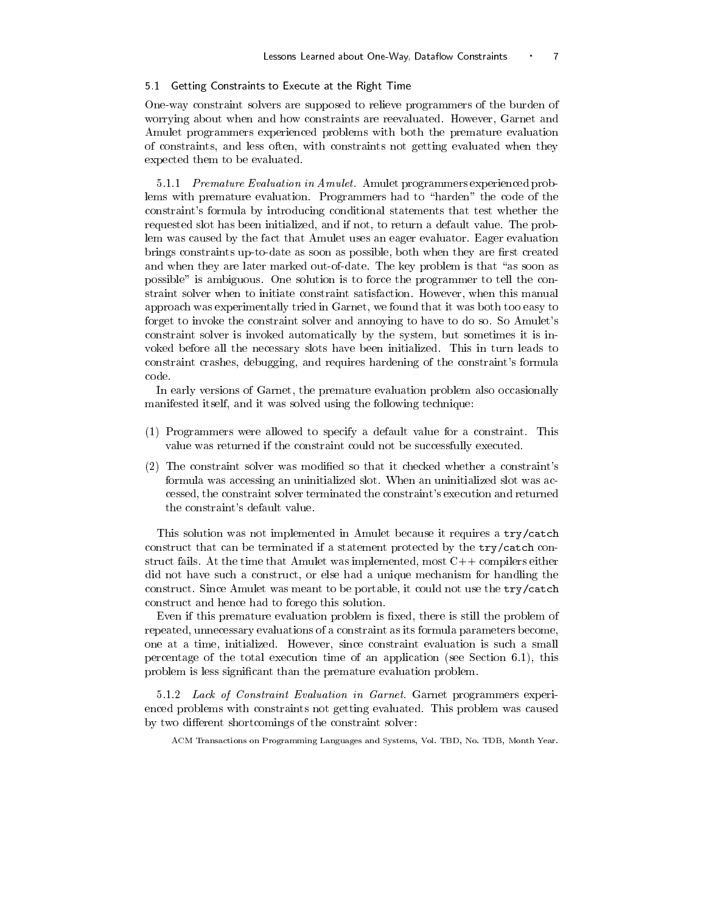## 5.1 Getting Constraints to Execute at the Right Time

One-way constraint solvers are supposed to relieve programmers of the burden of worrying about when and how constraints are reevaluated. However, Garnet and Amulet programmers experienced problems with both the premature evaluation of constraints, and less often, with constraints not getting evaluated when they expected them to be evaluated.

5.1.1 Premature Evaluation in Amulet. Amulet programmers experienced problems with premature evaluation. Programmers had to "harden" the code of the constraint's formula by introducing conditional statements that test whether the requested slot has been initialized, and if not, to return a default value. The problem was caused by the fact that Amulet uses an eager evaluator. Eager evaluation brings constraints up-to-date as soon as possible, both when they are first created and when they are later marked out-of-date. The key problem is that "as soon as possible" is ambiguous. One solution is to force the programmer to tell the constraint solver when to initiate constraint satisfaction. However, when this manual approach was experimentally tried in Garnet, we found that it was both too easy to forget to invoke the constraint solver and annoying to have to do so. So Amulet's constraint solver is invoked automatically by the system, but sometimes it is in voked before all the necessary slots have been initialized. This in turn leads to constraint crashes, debugging, and requires hardening of the constraint's formula code.

In early versions of Garnet, the premature evaluation problem also occasionally manifested itself, and it was solved using the following technique:

- (1) Programmers were allowed to specify a default value for a constraint. This value was returned if the constraint could not be successfully executed.
- (2) The constraint solver was modied so that it checked whether a constraint's formula was accessing an uninitialized slot. When an uninitialized slot was accessed, the constraint solver terminated the constraint's execution and returned the constraint's default value.

This solution was not implemented in Amulet because it requires a try/catch construct that can be terminated if a statement protected by the try/catch construct fails. At the time that Amulet was implemented, most C++ compilers either did not have such a construct, or else had a unique mechanism for handling the construct. Since Amulet was meant to be portable, it could not use the try/catch construct and hence had to forego this solution.

Even if this premature evaluation problem is fixed, there is still the problem of repeated, unnecessary evaluations of a constraint as its formula parameters become, one at a time, initialized. However, since constraint evaluation issuch a small percentage of the total execution time of an application (see Section 6.1), this problem is less signicant than the premature evaluation problem.

5.1.2 Lack of Constraint Evaluation in Garnet. Garnet programmers experienced problems with constraints not getting evaluated. This problem was caused by two different shortcomings of the constraint solver:

ACM Transactions on Programming Languages and Systems, Vol. TBD, No. TDB, Month Year.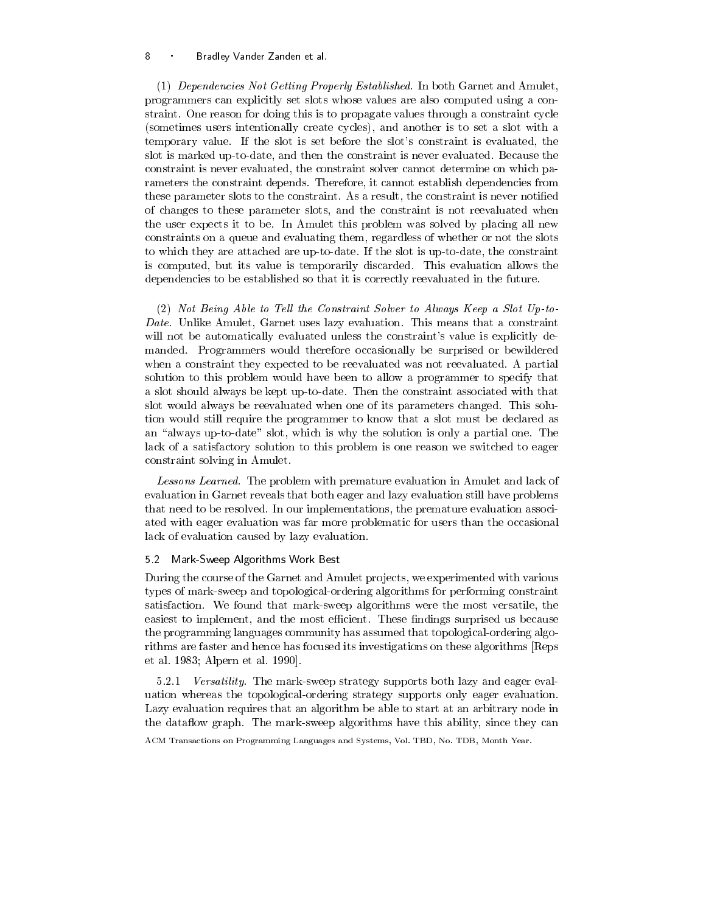## 8 **· Bradley Vander Zanden et al.**

(1) Dependencies Not Getting Properly Established. In both Garnet and Amulet, programmers can explicitly set slots whose values are also computed using a constraint. One reason for doing this is to propagate values through a constraint cycle (sometimes users intentionally create cycles), and another is to set a slot with a temporary value. If the slot is set before the slot's constraint is evaluated, the slot is marked up-to-date, and then the constraint is never evaluated. Because the constraint is never evaluated, the constraint solver cannot determine on which parameters the constraint depends. Therefore, it cannot establish dependencies from these parameter slots to the constraint. As a result, the constraint is never notied of changes to these parameter slots, and the constraint is not reevaluated when the user expects it to be.In Amulet this problem was solved by placing all new constraints on a queue and evaluating them, regardless of whether or not the slots to which they are attached are up-to-date. If the slot is up-to-date, the constraint is computed, but its value is temporarily discarded. This evaluation allows the dependencies to be established so that it is correctly reevaluated in the future.

(2) Not Being Able to Tell the Constraint Solver to Always Keep a Slot  $Up-to-$ Date. Unlike Amulet, Garnet uses lazy evaluation. This means that a constraint will not be automatically evaluated unless the constraint's value is explicitly demanded. Programmers would therefore occasionally be surprised or bewildered when a constraint they expected to be reevaluated was not reevaluated. A partial solution to this problem would have been to allow a programmer to specify that a slot should always be kept up-to-date. Then the constraint associated with that slot would always be reevaluated when one of its parameters changed. This solution would still require the programmer to know that a slot must be declared as an "always up-to-date" slot, which is why the solution is only a partial one. The lack of a satisfactory solution to this problem is one reason we switched to eager constraint solving in Amulet.

Lessons Learned. The problem with premature evaluation in Amulet and lack of evaluation in Garnet reveals that both eager and lazy evaluation still have problems that need to be resolved. In our implementations, the premature evaluation associated with eager evaluation was far more problematic for users than the occasional lack of evaluation caused by lazy evaluation.

#### 5.2 Mark-Sweep Algorithms Work Best

During the course of the Garnet and Amulet projects, we experimented with various types of mark-sweep and topological-ordering algorithms for performing constraint satisfaction. We found that mark-sweep algorithms were the most versatile, the easiest to implement, and the most efficient. These findings surprised us because the programming languages community has assumed that topological-ordering algorithms are faster and hence has focused its investigations on these algorithms [Reps et al. 1983; Alpern et al. 1990].

 $5.2.1$ Versatility. The mark-sweep strategy supports both lazy and eager evaluation whereas the topological-ordering strategy supports only eager evaluation. Lazy evaluation requires that an algorithm be able to start at an arbitrary node in the data
ow graph. The mark-sweep algorithms have this ability, since they can

ACM Transactions on Programming Languages and Systems, Vol. TBD, No. TDB, Month Year.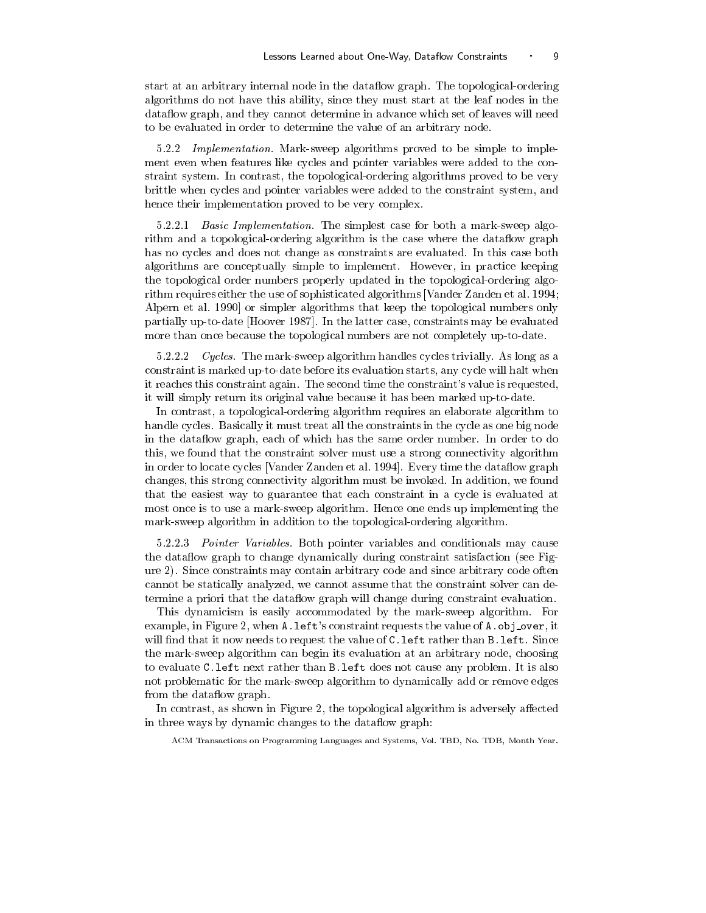start at an arbitrary internal node in the dataflow graph. The topological-ordering algorithms do not have this ability, since they must start at the leaf nodes in the data flow graph, and they cannot determine in advance which set of leaves will need to be evaluated in order to determine the value of an arbitrary node.

5.2.2 Implementation. Mark-sweep algorithms proved to be simple to implement even when features like cycles and pointer variables were added to the constraint system. In contrast, the topological-ordering algorithms proved to be very brittle when cycles and pointer variables were added to the constraint system, and hence their implementation proved to be very complex.

5.2.2.1 Basic Implementation. The simplest case for both a mark-sweep algorithm and a topological-ordering algorithm is the case where the dataflow graph has no cycles and does not change as constraints are evaluated. In this case both algorithms are conceptually simple to implement. However, in practice keeping the topological order numbers properly updated in the topological-ordering algorithm requires either the use of sophisticated algorithms [Vander Zanden et al. 1994; Alpern et al. 1990] or simpler algorithms that keep the topological numbers only partially up-to-date [Hoover 1987]. In the latter case, constraints may be evaluated more than once because the topological numbers are not completely up-to-date.

5.2.2.2 Cycles. The mark-sweep algorithm handles cycles trivially. As long as a constraint is marked up-to-date before its evaluation starts, any cycle will halt when it reaches this constraint again. The second time the constraint's value is requested, it will simply return its original value because it has been marked up-to-date.

In contrast, a topological-ordering algorithm requires an elaborate algorithm to handle cycles. Basically it must treat all the constraints in the cycle as one big node in the data flow graph, each of which has the same order number. In order to do this, we found that the constraint solver must use a strong connectivity algorithm in order to locate cycles [Vander Zanden et al. 1994]. Every time the dataflow graph changes, this strong connectivity algorithm must be invoked. In addition, we found that the easiest way to guarantee that each constraint in a cycle is evaluated at most once is to use a mark-sweep algorithm. Hence one ends up implementing the mark-sweep algorithm in addition to the topological-ordering algorithm.

5.2.2.3 Pointer Variables. Both pointer variables and conditionals may cause the dataflow graph to change dynamically during constraint satisfaction (see Figure 2). Since constraints may contain arbitrary code and since arbitrary code often cannot be statically analyzed, we cannot assume that the constraint solver can determine a priori that the data flow graph will change during constraint evaluation.

This dynamicism is easily accommodated by the mark-sweep algorithm. For example, in Figure 2, when A. left's constraint requests the value of A. obj\_over, it will find that it now needs to request the value of C.left rather than B.left. Since the mark-sweep algorithm can begin its evaluation at an arbitrary node, choosing to evaluate C.left next rather than B.left does not cause any problem. It is also not problematic for the mark-sweep algorithm to dynamically add or remove edges from the data flow graph.

In contrast, as shown in Figure 2, the topological algorithm is adversely affected in three ways by dynamic changes to the dataflow graph: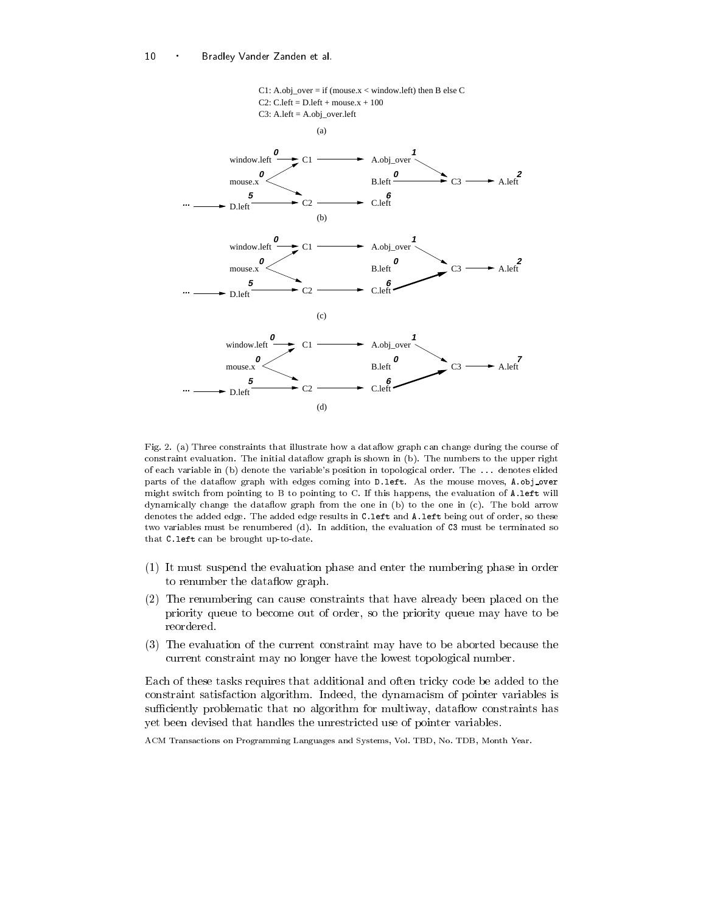

Fig. 2. (a) Three constraints that illustrate how a dataflow graph can change during the course of constraint evaluation. The initial dataflow graph is shown in (b). The numbers to the upper right of each variable in (b) denote the variable's position in topological order. The ... denotes elided parts of the dataflow graph with edges coming into D.left. As the mouse moves, A.obj\_over might switch from pointing to B to pointing to C. If this happens, the evaluation of A.left will dynamically change the dataflow graph from the one in (b) to the one in (c). The bold arrow denotes the added edge. The added edge results in C.left and A.left being out of order, so these two variables must be renumbered (d). In addition, the evaluation of C3 must be terminated so that C.left can be brought up-to-date.

- (1) It must suspend the evaluation phase and enter the numbering phase in order to renumber the dataflow graph.
- (2) The renumbering can cause constraints that have already been placed on the priority queue to become out of order, so the priority queue may have to be reordered.
- (3) The evaluation of the current constraint may have to be aborted because the current constraint may no longer have the lowest topological number.

Each of these tasks requires that additional and often tricky code be added to the constraint satisfaction algorithm. Indeed, the dynamacism of pointer variables is sufficiently problematic that no algorithm for multiway, dataflow constraints has yet been devised that handles the unrestricted use of pointer variables.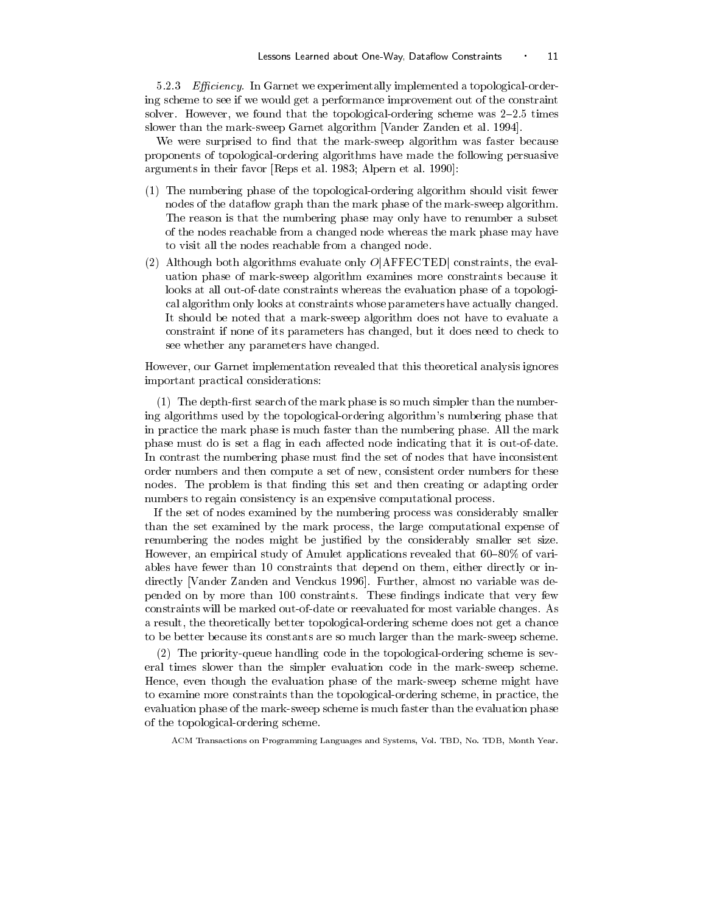5.2.3 Efficiency. In Garnet we experimentally implemented a topological-ordering scheme to see if we would get a performance improvement out of the constraint solver. However, we found that the topological-ordering scheme was  $2-2.5$  times slower than the mark-sweep Garnet algorithm [Vander Zanden et al. 1994].

We were surprised to find that the mark-sweep algorithm was faster because proponents of topological-ordering algorithms have made the following persuasive arguments in their favor [Reps et al. 1983; Alpern et al. 1990]:

- (1) The numbering phase of the topological-ordering algorithm should visit fewer nodes of the data flow graph than the mark phase of the mark-sweep algorithm. The reason is that the numbering phase may only have to renumber a subset of the nodes reachable from a changed node whereas the mark phase may have to visit all the nodes reachable from a changed node.
- (2) Although both algorithms evaluate only  $O|$ AFFECTED constraints, the evaluation phase of mark-sweep algorithm examines more constraints because it looks at all out-of-date constraints whereas the evaluation phase of a topological algorithm only looks at constraints whose parameters have actually changed. It should be noted that a mark-sweep algorithm does not have to evaluate a constraint if none of its parameters has changed, but it does need to check to see whether any parameters have changed.

However, our Garnet implementation revealed that this theoretical analysis ignores important practical considerations:

 $(1)$  The depth-first search of the mark phase is so much simpler than the numbering algorithms used by the topological-ordering algorithm's numbering phase that in practice the mark phase is much faster than the numbering phase. All the mark phase must do is set a flag in each affected node indicating that it is out-of-date. In contrast the numbering phase must find the set of nodes that have inconsistent order numbers and then compute a set of new, consistent order numbers for these nodes. The problem is that finding this set and then creating or adapting order numbers to regain consistency is an expensive computational process.

If the set of nodes examined by the numbering process was considerably smaller than the set examined by the mark process, the large computational expense of renumbering the nodes might be justified by the considerably smaller set size. However, an empirical study of Amulet applications revealed that  $60{-}80\%$  of variables have fewer than 10 constraints that depend on them, either directly or indirectly [Vander Zanden and Venckus 1996]. Further, almost no variable was depended on by more than 100 constraints. These findings indicate that very few constraints will be marked out-of-date or reevaluated for most variable changes. As a result, the theoretically better topological-ordering scheme does not get a chance to be better because its constants are so much larger than the mark-sweep scheme.

(2) The priority-queue handling code in the topological-ordering scheme is several times slower than the simpler evaluation code in the mark-sweep scheme. Hence, even though the evaluation phase of the mark-sweep scheme might have to examine more constraints than the topological-ordering scheme, in practice, the evaluation phase of the mark-sweep scheme is much faster than the evaluation phase of the topological-ordering scheme.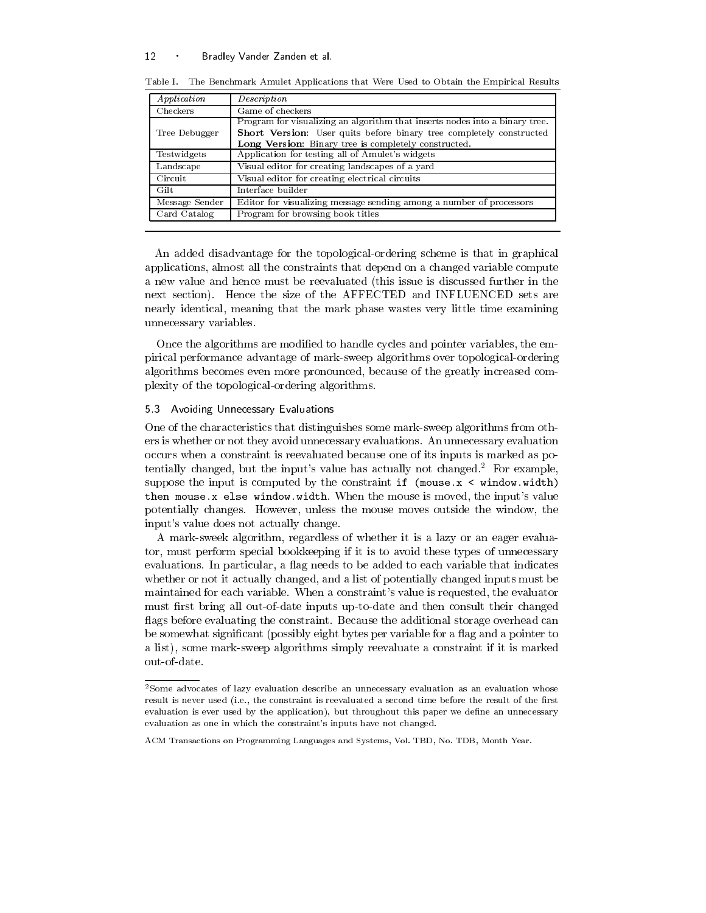| Application    | Description                                                                 |  |
|----------------|-----------------------------------------------------------------------------|--|
| Checkers       | Game of checkers                                                            |  |
| Tree Debugger  | Program for visualizing an algorithm that inserts nodes into a binary tree. |  |
|                | <b>Short Version:</b> User quits before binary tree completely constructed  |  |
|                | Long Version: Binary tree is completely constructed.                        |  |
| Testwidgets    | Application for testing all of Amulet's widgets                             |  |
| Landscape      | Visual editor for creating landscapes of a yard                             |  |
| Circuit        | Visual editor for creating electrical circuits                              |  |
| Gilt           | Interface builder                                                           |  |
| Message Sender | Editor for visualizing message sending among a number of processors         |  |
| Card Catalog   | Program for browsing book titles                                            |  |

Table I. The Benchmark Amulet Applications that Were Used to Obtain the Empirical Results

An added disadvantage for the topological-ordering scheme is that in graphical applications, almost all the constraints that depend on a changed variable compute a new value and hence must be reevaluated (this issue is discussed further in the next section). Hence the size of the AFFECTED and INFLUENCED sets are nearly identical, meaning that the mark phase wastes very little time examining unnecessary variables.

Once the algorithms are modified to handle cycles and pointer variables, the empirical performance advantage of mark-sweep algorithms over topological-ordering algorithms becomes even more pronounced, because of the greatly increased complexity of the topological-ordering algorithms.

#### 5.3 Avoiding Unnecessary Evaluations

One of the characteristics that distinguishes some mark-sweep algorithms from others is whether or not they avoid unnecessary evaluations. An unnecessary evaluation occurs when a constraint is reevaluated because one of its inputs is marked as potentially changed, but the input's value has actually not changed.<sup>2</sup> For example, suppose the input is computed by the constraint if (mouse.x < window.width) then mouse.x else window.width. When the mouse is moved, the input's value potentially changes. However, unless the mouse moves outside the window, the input's value does not actually change.

A mark-sweek algorithm, regardless of whether it is a lazy or an eager evaluator, must perform special bookkeeping if it is to avoid these types of unnecessary evaluations. In particular, a flag needs to be added to each variable that indicates whether or not it actually changed, and a list of potentially changed inputs must be maintained for each variable. When a constraint's value is requested, the evaluator must first bring all out-of-date inputs up-to-date and then consult their changed flags before evaluating the constraint. Because the additional storage overhead can be somewhat significant (possibly eight bytes per variable for a flag and a pointer to a list), some mark-sweep algorithms simply reevaluate a constraint if it is marked out-of-date.

<sup>2</sup>Some advocates of lazy evaluation describe an unnecessary evaluation as an evaluation whose result is never used (i.e., the constraint is reevaluated a second time before the result of the first evaluation is ever used by the application), but throughout this paper we define an unnecessary evaluation as one in which the constraint's inputs have not changed.

ACM Transactions on Programming Languages and Systems, Vol. TBD, No. TDB, Month Year.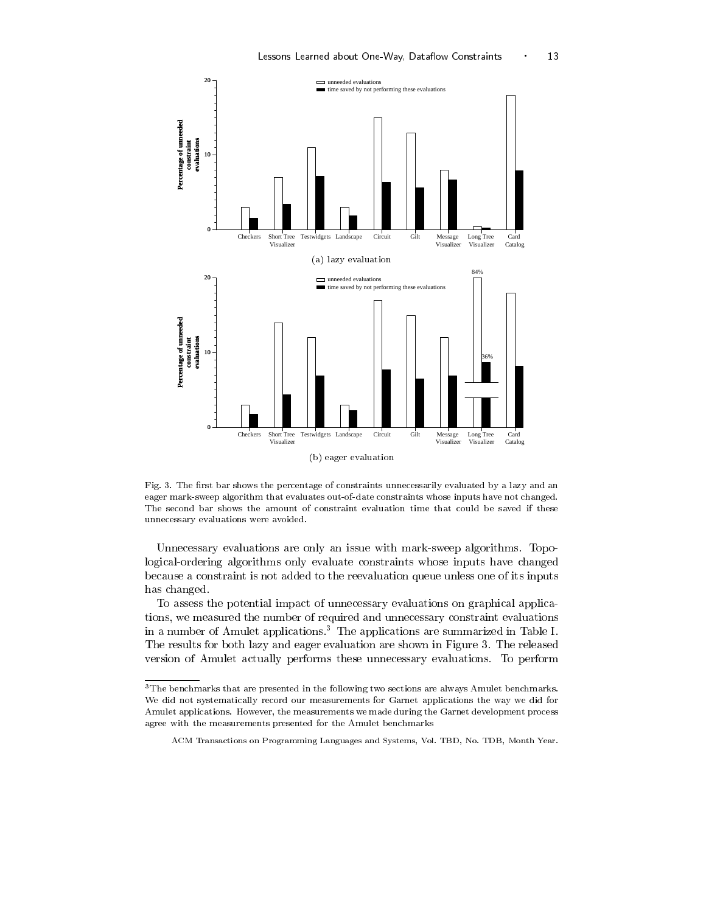

Fig. 3. The first bar shows the percentage of constraints unnecessarily evaluated by a lazy and an eager mark-sweep algorithm that evaluates out-of-date constraints whose inputs have not changed. The second bar shows the amount of constraint evaluation time that could be saved if these unnecessary evaluations were avoided.

Unnecessary evaluations are only an issue with mark-sweep algorithms. Topological-ordering algorithms only evaluate constraints whose inputs have changed because a constraint is not added to the reevaluation queue unless one of its inputs has changed.

To assess the potential impact of unnecessary evaluations on graphical applications, we measured the number of required and unnecessary constraint evaluations in a number of Amulet applications.3 The applications are summarized in Table I. The results for both lazy and eager evaluation are shown in Figure 3. The released version of Amulet actually performs these unnecessary evaluations. To perform

 $3$ The benchmarks that are presented in the following two sections are always Amulet benchmarks. We did not systematically record our measurements for Garnet applications the way we did for Amulet applications. However, the measurements we made during the Garnet development process agree with the measurements presented for the Amulet benchmarks

ACM Transactions on Programming Languages and Systems, Vol. TBD, No. TDB, Month Year.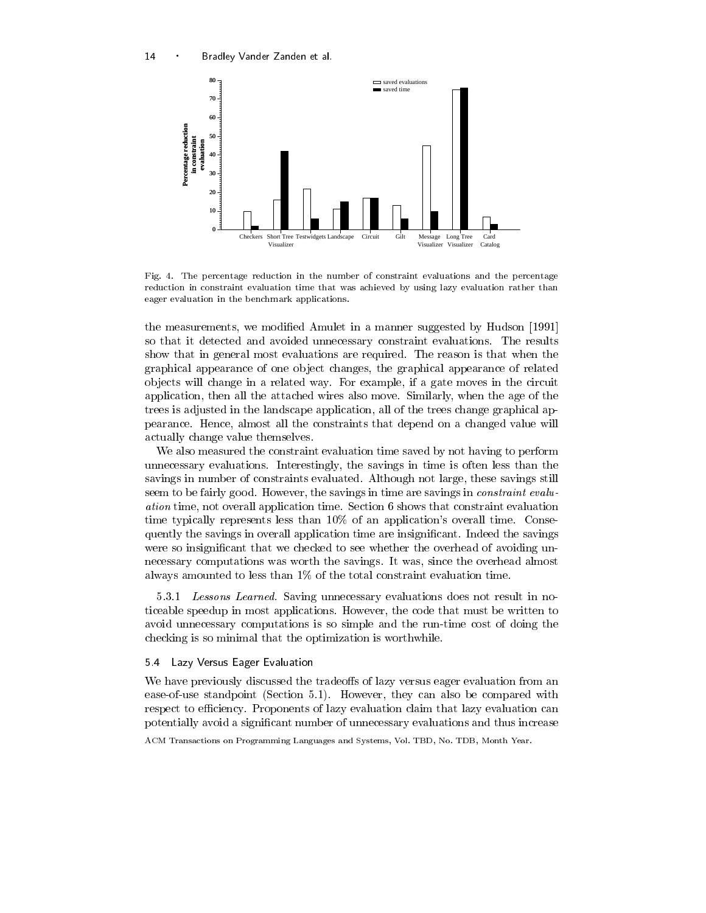

Fig. 4. The percentage reduction in the number of constraint evaluations and the percentage reduction in constraint evaluation time that was achieved by using lazy evaluation rather than eager evaluation in the benchmark applications.

the measurements, we modied Amulet in a manner suggested by Hudson [1991] so that it detected and avoided unnecessary constraint evaluations. The results show that in general most evaluations are required. The reason is that when the graphical appearance of one ob ject changes, the graphical appearance of related ob jects will change in a related way. For example, if a gate moves in the circuit application, then all the attached wires also move. Similarly, when the age of the trees is adjusted in the landscape application, all of the trees change graphical appearance. Hence, almost all the constraints that depend on a changed value will actually change value themselves.

We also measured the constraint evaluation time saved by not having to perform unnecessary evaluations. Interestingly, the savings in time is often less than the savings in number of constraints evaluated. Although not large, these savings still seem to be fairly good. However, the savings in time are savings in constraint evaluation time, not overall application time. Section 6 shows that constraint evaluation time typically represents less than 10% of an application's overall time. Consequently the savings in overall application time are insignicant. Indeed the savings were so insignificant that we checked to see whether the overhead of avoiding unnecessary computations was worth the savings. It was, since the overhead almost always amounted to less than 1% of the total constraint evaluation time.

5.3.1 Lessons Learned. Saving unnecessary evaluations does not result in noticeable speedup in most applications. However, the code that must be written to avoid unnecessary computations is so simple and the run-time cost of doing the checking is so minimal that the optimization is worthwhile.

#### 5.4 Lazy Versus Eager Evaluation

We have previously discussed the tradeoffs of lazy versus eager evaluation from an ease-of-use standpoint (Section 5.1). However, they can also be compared with respect to efficiency. Proponents of lazy evaluation claim that lazy evaluation can potentially avoid a signicant number of unnecessary evaluations and thus increase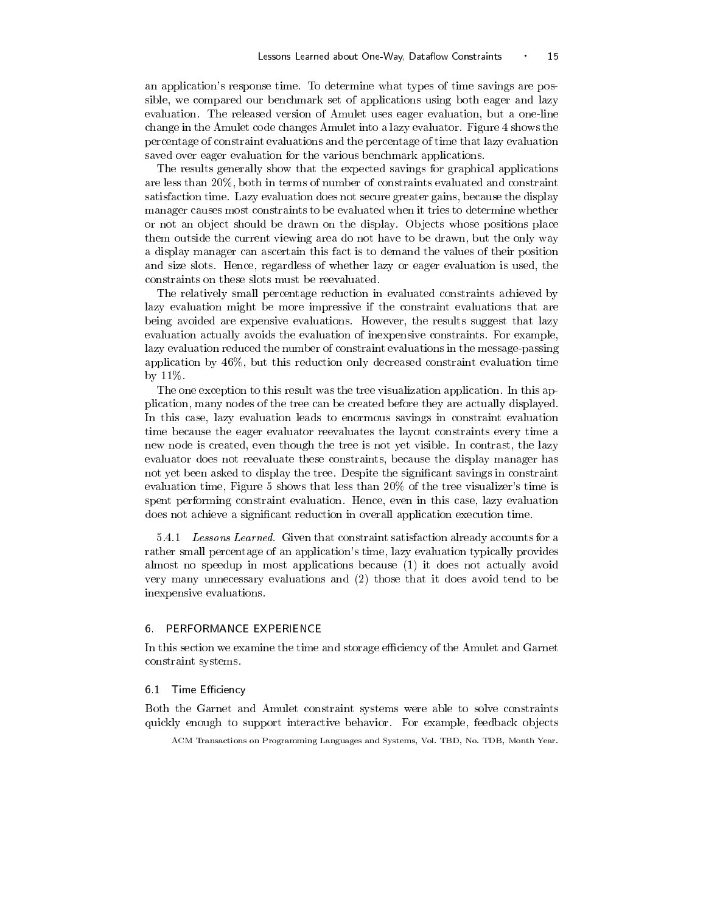an application's response time. To determine what types of time savings are possible, we compared our benchmark set of applications using both eager and lazy evaluation. The released version of Amulet uses eager evaluation, but a one-line change in the Amulet code changes Amulet into a lazy evaluator. Figure 4 shows the percentage of constraint evaluations and the percentage of time that lazy evaluation saved over eager evaluation for the various benchmark applications.

The results generally show that the expected savings for graphical applications are less than 20%, both in terms of number of constraints evaluated and constraint satisfaction time. Lazy evaluation does not secure greater gains, because the display manager causes most constraints to be evaluated when it tries to determine whether or not an object should be drawn on the display. Objects whose positions place them outside the current viewing area do not have to be drawn, but the only way a display manager can ascertain this fact is to demand the values of their position and size slots. Hence, regardless of whether lazy or eager evaluation is used, the constraints on these slots must be reevaluated.

The relatively small percentage reduction in evaluated constraints achieved by lazy evaluation might be more impressive if the constraint evaluations that are being avoided are expensive evaluations. However, the results suggest that lazy evaluation actually avoids the evaluation of inexpensive constraints. For example, lazy evaluation reduced the number of constraint evaluations in the message-passing application by 46%, but this reduction only decreased constraint evaluation time by 11%.

The one exception to this result was the tree visualization application. In this application, many nodes of the tree can be created before they are actually displayed. In this case, lazy evaluation leads to enormous savings in constraint evaluation time because the eager evaluator reevaluates the layout constraints every time a new node is created, even though the tree is not yet visible. In contrast, the lazy evaluator does not reevaluate these constraints, because the display manager has not yet been asked to display the tree. Despite the signicant savings in constraint evaluation time, Figure 5 shows that less than 20% of the tree visualizer's time is spent performing constraint evaluation. Hence, even in this case, lazy evaluation does not achieve a signicant reduction in overall application execution time.

5.4.1 Lessons Learned. Given that constraint satisfaction already accounts for a rather small percentage of an application's time, lazy evaluation typically provides almost no speedup in most applications because (1) it does not actually avoid very many unnecessary evaluations and (2) those that it does avoid tend to be inexpensive evaluations.

# 6. PERFORMANCE EXPERIENCE

In this section we examine the time and storage efficiency of the Amulet and Garnet constraint systems.

#### 6.1 Time Efficiency

Both the Garnet and Amulet constraint systems were able to solve constraints quickly enough to support interactive behavior. For example, feedback objects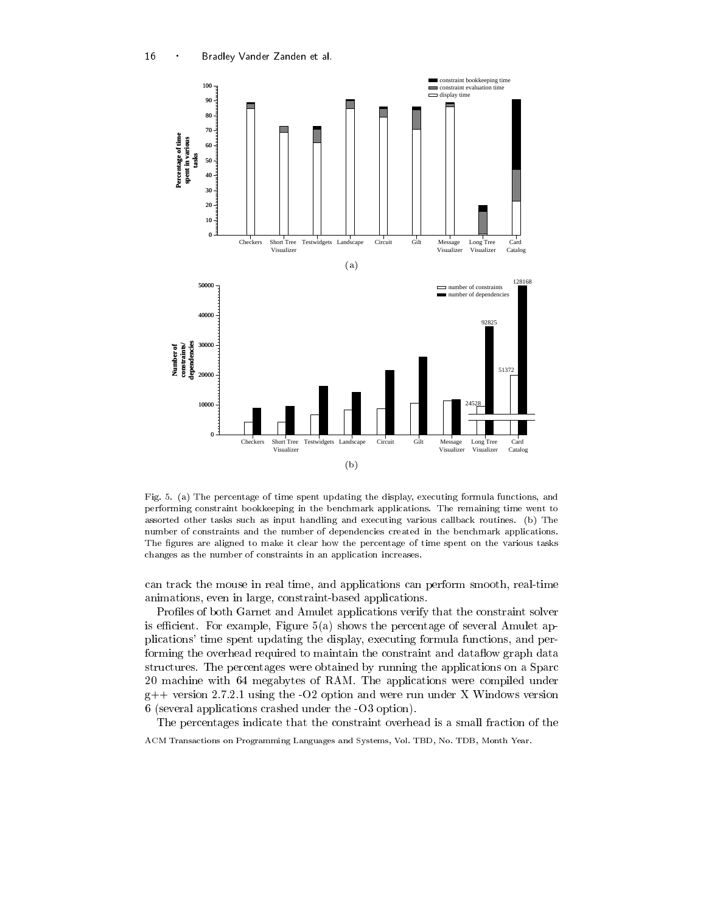

Fig. 5. (a) The percentage of time spent updating the display, executing formula functions, and performing constraint bookkeeping in the benchmark applications. The remaining time went to assorted other tasks such as input handling and executing various callback routines. (b) The number of constraints and the number of dependencies created in the benchmark applications. The figures are aligned to make it clear how the percentage of time spent on the various tasks changes as the number of constraints in an application increases.

can track the mouse in real time, and applications can perform smooth, real-time animations, even in large, constraint-based applications.

Profiles of both Garnet and Amulet applications verify that the constraint solver is efficient. For example, Figure  $5(a)$  shows the percentage of several Amulet applications' time spent updating the display, executing formula functions, and performing the overhead required to maintain the constraint and dataflow graph data structures. The percentages were obtained by running the applications on a Sparc 20 machine with 64 megabytes of RAM. The applications were compiled under g++ version 2.7.2.1 using the -O2 option and were run under X Windows version 6 (several applications crashed under the -O3 option).

The percentages indicate that the constraint overhead is a small fraction of the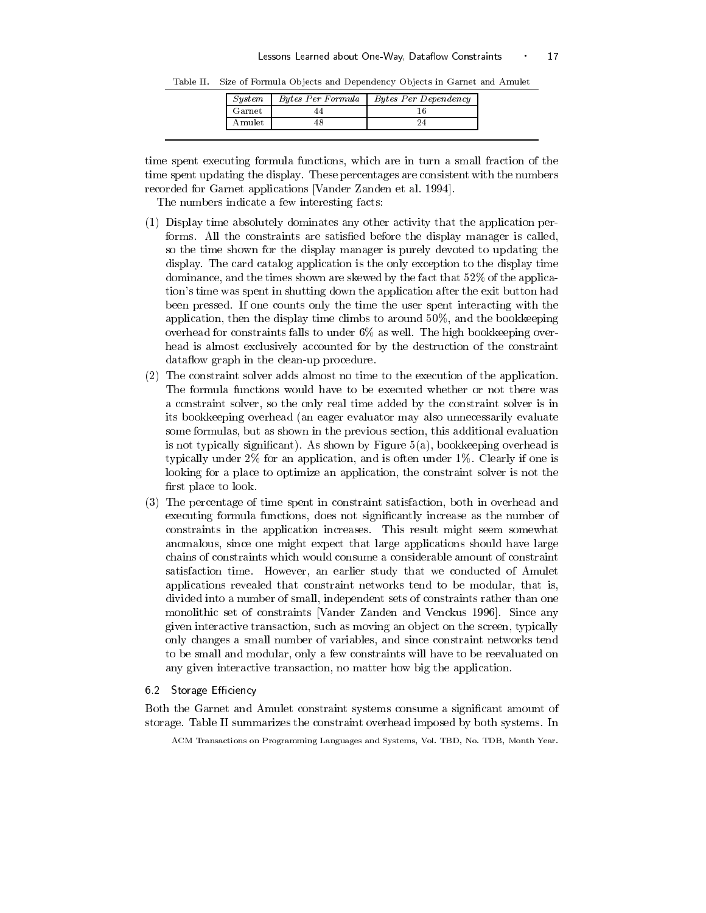| <i>System</i> | Bytes Per Formula | <i>Bytes Per Dependency</i> |
|---------------|-------------------|-----------------------------|
| Garnet        |                   |                             |
| A mulet.      |                   |                             |

Table II. Size of Formula Objects and Dependency Objects in Garnet and Amulet

time spent executing formula functions, which are in turn a small fraction of the time spent updating the display. These percentages are consistent with the numbers recorded for Garnet applications [Vander Zanden et al. 1994].

The numbers indicate a few interesting facts:

- (1) Display time absolutely dominates any other activity that the application performs. All the constraints are satisfied before the display manager is called, so the time shown for the display manager is purely devoted to updating the display. The card catalog application is the only exception to the display time dominance, and the times shown are skewed by the fact that 52% of the application's time was spent in shutting down the application after the exit button had been pressed. If one counts only the time the user spent interacting with the application, then the display time climbs to around 50%, and the bookkeeping overhead for constraints falls to under 6% as well. The high bookkeeping overhead is almost exclusively accounted for by the destruction of the constraint dataflow graph in the clean-up procedure.
- (2) The constraint solver adds almost no time to the execution of the application. The formula functions would have to be executed whether or not there was a constraint solver, so the only real time added by the constraint solver is in its bookkeeping overhead (an eager evaluator may also unnecessarily evaluate some formulas, but as shown in the previous section, this additional evaluation is not typically significant). As shown by Figure  $5(a)$ , bookkeeping overhead is typically under 2% for an application, and is often under 1%. Clearly if one is looking for a place to optimize an application, the constraint solver is not the first place to look.
- (3) The percentage of time spent in constraint satisfaction, both in overhead and executing formula functions, does not signicantly increase as the number of constraints in the application increases. This result might seem somewhat anomalous, since one might expect that large applications should have large chains of constraints which would consume a considerable amount of constraint satisfaction time. However, an earlier study that we conducted of Amulet applications revealed that constraint networks tend to be modular, that is, divided into a number of small, independent sets of constraints rather than one monolithic set of constraints [Vander Zanden and Venckus 1996]. Since any given interactive transaction, such as moving an ob ject on the screen, typically only changes a small number of variables, and since constraint networks tend to be small and modular, only a few constraints will have to be reevaluated on any given interactive transaction, no matter how big the application.

### 6.2 Storage Efficiency

Both the Garnet and Amulet constraint systems consume a signicant amount of storage. Table II summarizes the constraint overhead imposed by both systems. In

ACM Transactions on Programming Languages and Systems, Vol. TBD, No. TDB, Month Year.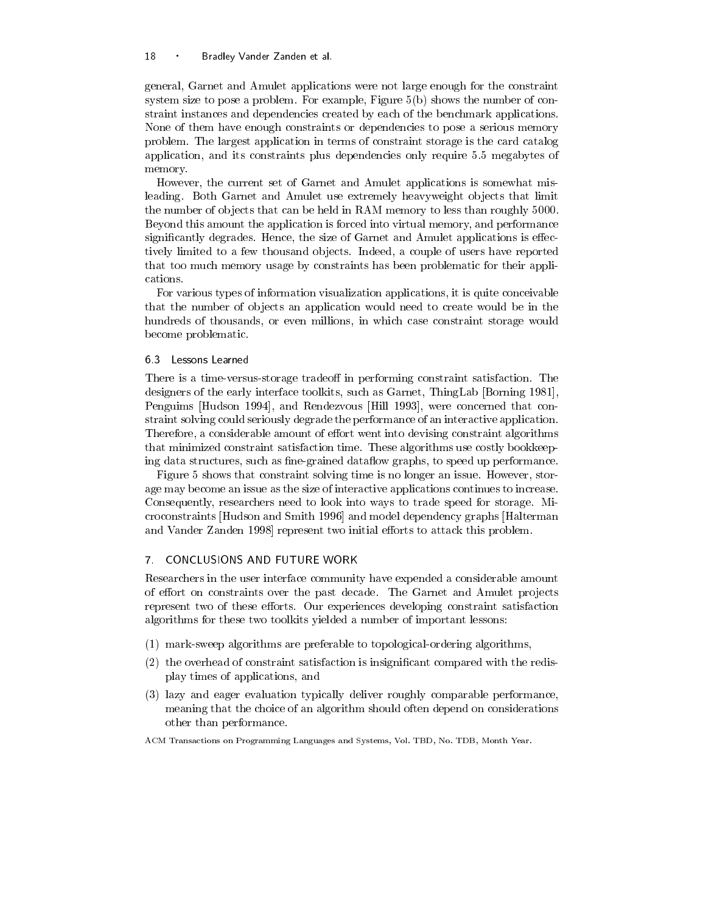general, Garnet and Amulet applications were not large enough for the constraint system size to pose a problem. For example, Figure 5(b) shows the number of constraint instances and dependencies created by each of the benchmark applications. None of them have enough constraints or dependencies to pose a serious memory problem. The largest application in terms of constraint storage is the card catalog application, and its constraints plus dependencies only require 5.5 megabytes of memory.

However, the current set of Garnet and Amulet applications is somewhat misleading. Both Garnet and Amulet use extremely heavyweight objects that limit the number of ob jects that can be held in RAM memory to less than roughly 5000. Beyond this amount the application is forced into virtual memory, and performance significantly degrades. Hence, the size of Garnet and Amulet applications is effectively limited to a few thousand objects. Indeed, a couple of users have reported that too much memory usage by constraints has been problematic for their applications.

For various types of information visualization applications, it is quite conceivable that the number of ob jects an application would need to create would be in the hundreds of thousands, or even millions, in which case constraint storage would become problematic.

#### 6.3 Lessons Learned

There is a time-versus-storage tradeoff in performing constraint satisfaction. The designers of the early interface toolkits, such as Garnet, ThingLab [Borning 1981], Penguims [Hudson 1994], and Rendezvous [Hill 1993], were concerned that constraint solving could seriously degrade the performance of an interactive application. Therefore, a considerable amount of effort went into devising constraint algorithms that minimized constraint satisfaction time. These algorithms use costly bookkeeping data structures, such as fine-grained dataflow graphs, to speed up performance.

Figure 5 shows that constraint solving time is no longer an issue. However, storage may become an issue as the size of interactive applications continues to increase. Consequently, researchers need to look into ways to trade speed for storage. Microconstraints [Hudson and Smith 1996] and model dependency graphs [Halterman and Vander Zanden 1998] represent two initial efforts to attack this problem.

#### **CONCLUSIONS AND FUTURE WORK**  $7<sup>1</sup>$

Researchers in the user interface community have expended a considerable amount of effort on constraints over the past decade. The Garnet and Amulet projects represent two of these efforts. Our experiences developing constraint satisfaction algorithms for these two toolkits yielded a number of important lessons:

- (1) mark-sweep algorithms are preferable to topological-ordering algorithms,
- (2) the overhead of constraint satisfaction is insignicant compared with the redisplay times of applications, and
- (3) lazy and eager evaluation typically deliver roughly comparable performance, meaning that the choice of an algorithm should often depend on considerations other than performance.
- ACM Transactions on Programming Languages and Systems, Vol. TBD, No. TDB, Month Year.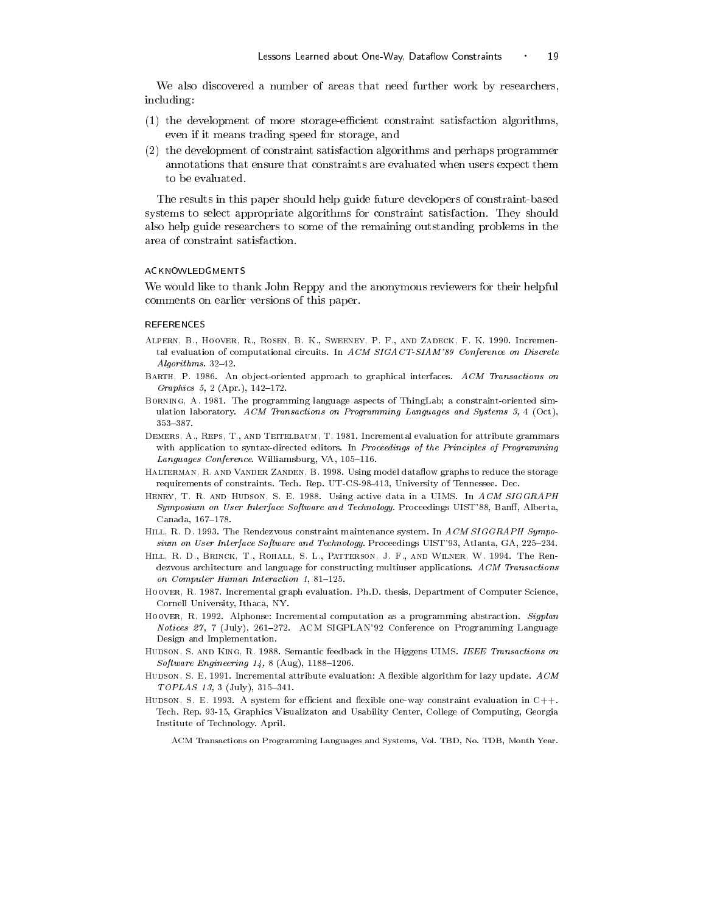We also discovered a number of areas that need further work by researchers, including:

- (1) the development of more storage-ecient constraint satisfaction algorithms, even if it means trading speed for storage, and
- (2) the development of constraint satisfaction algorithms and perhaps programmer annotations that ensure that constraints are evaluated when users expect them to be evaluated.

The results in this paper should help guide future developers of constraint-based systems to select appropriate algorithms for constraint satisfaction. They should also help guide researchers to some of the remaining outstanding problems in the area of constraint satisfaction.

#### ACKNOWLEDGMENTS

We would like to thank John Reppy and the anonymous reviewers for their helpful comments on earlier versions of this paper.

#### REFERENCES

- Alpern, B., Hoover, R., Rosen, B. K., Sweeney, P. F., and Zadeck, F. K. 1990. Incremental evaluation of computational circuits. In ACM SIGACT-SIAM'89 Conference on Discrete Algorithms.  $32-42$ .
- BARTH, P. 1986. An object-oriented approach to graphical interfaces. ACM Transactions on Graphics 5, 2 (Apr.),  $142-172$ .
- Borning, A. 1981. The programming language aspects of ThingLab; a constraint-oriented simulation laboratory. ACM Transactions on Programming Languages and Systems 3, 4 (Oct), 353-387
- Demers, A., Reps, T., and Teitelbaum, T. 1981. Incremental evaluation for attribute grammars with application to syntax-directed editors. In Proceedings of the Principles of Programming Languages Conference. Williamsburg, VA, 105-116.
- HALTERMAN, R. AND VANDER ZANDEN, B. 1998. Using model dataflow graphs to reduce the storage requirements of constraints. Tech. Rep. UT-CS-98-413, University of Tennessee. Dec.
- HENRY, T. R. AND HUDSON, S. E. 1988. Using active data in a UIMS. In ACM SIGGRAPH Symposium on User Interface Software and Technology. Proceedings UIST'88, Banff, Alberta, Canada, 167-178.
- HILL, R. D. 1993. The Rendezvous constraint maintenance system. In ACM SIGGRAPH Symposium on User Interface Software and Technology. Proceedings UIST'93, Atlanta, GA, 225-234.
- Hill, R. D., Brinck, T., Rohall, S. L., Patterson, J. F., and Wilner, W. 1994. The Rendezvous architecture and language for constructing multiuser applications. ACM Transactions on Computer Human Interaction  $1, 81-125$ .
- Hoover, R. 1987. Incremental graph evaluation. Ph.D. thesis, Department of Computer Science, Cornell University, Ithaca, NY.
- HOOVER, R. 1992. Alphonse: Incremental computation as a programming abstraction. Sigplan Notices 27, 7 (July), 261-272. ACM SIGPLAN'92 Conference on Programming Language Design and Implementation.
- Hudson, S. and King, R. 1988. Semantic feedback in the Higgens UIMS. IEEE Transactions on Software Engineering  $14$ , 8 (Aug), 1188-1206.
- HUDSON, S. E. 1991. Incremental attribute evaluation: A flexible algorithm for lazy update. A CM TOPLAS 13, 3 (July),  $315-341$ .
- HUDSON, S. E. 1993. A system for efficient and flexible one-way constraint evaluation in  $C++$ . Tech. Rep. 93-15, Graphics Visualizaton and Usability Center, College of Computing, Georgia Institute of Technology. April.